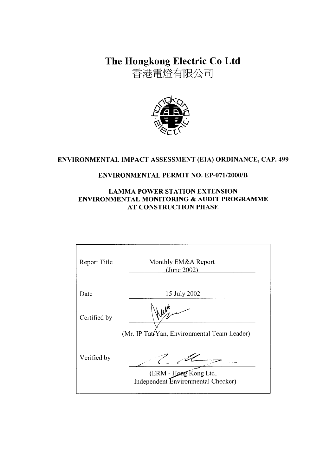The Hongkong Electric Co Ltd

香港電燈有限公司



# ENVIRONMENTAL IMPACT ASSESSMENT (EIA) ORDINANCE, CAP. 499

# **ENVIRONMENTAL PERMIT NO. EP-071/2000/B**

## **LAMMA POWER STATION EXTENSION** ENVIRONMENTAL MONITORING & AUDIT PROGRAMME **AT CONSTRUCTION PHASE**

| <b>Report Title</b> | Monthly EM&A Report<br>(June 2002)                          |
|---------------------|-------------------------------------------------------------|
| Date                | 15 July 2002                                                |
| Certified by        | (Mr. IP Tate Yan, Environmental Team Leader)                |
| Verified by         | (ERM - Hong Kong Ltd,<br>Independent Environmental Checker) |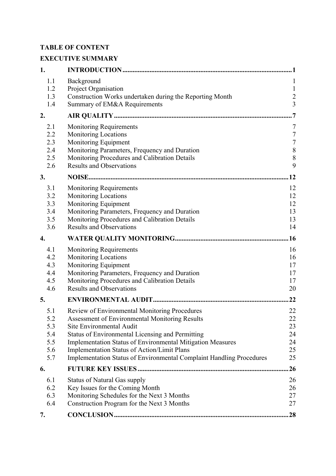# **TABLE OF CONTENT**

# **EXECUTIVE SUMMARY**

| 1.                       |                                                                                                                                | . 1                                |
|--------------------------|--------------------------------------------------------------------------------------------------------------------------------|------------------------------------|
| 1.1<br>1.2<br>1.3<br>1.4 | Background<br>Project Organisation<br>Construction Works undertaken during the Reporting Month<br>Summary of EM&A Requirements | 1<br>$\mathbf{1}$<br>$\frac{2}{3}$ |
| 2.                       |                                                                                                                                |                                    |
|                          |                                                                                                                                |                                    |
| 2.1<br>2.2               | <b>Monitoring Requirements</b><br><b>Monitoring Locations</b>                                                                  | 7<br>$\sqrt{ }$                    |
| 2.3                      | Monitoring Equipment                                                                                                           | $\sqrt{ }$                         |
| 2.4                      | Monitoring Parameters, Frequency and Duration                                                                                  | $\,$ $\,$                          |
| 2.5                      | Monitoring Procedures and Calibration Details                                                                                  | 8                                  |
| 2.6                      | <b>Results and Observations</b>                                                                                                | 9                                  |
| 3.                       |                                                                                                                                | .12                                |
| 3.1                      | <b>Monitoring Requirements</b>                                                                                                 | 12                                 |
| 3.2                      | <b>Monitoring Locations</b>                                                                                                    | 12                                 |
| 3.3<br>3.4               | Monitoring Equipment<br>Monitoring Parameters, Frequency and Duration                                                          | 12<br>13                           |
| 3.5                      | Monitoring Procedures and Calibration Details                                                                                  | 13                                 |
| 3.6                      | <b>Results and Observations</b>                                                                                                | 14                                 |
| 4.                       |                                                                                                                                | .16                                |
| 4.1                      | <b>Monitoring Requirements</b>                                                                                                 | 16                                 |
| 4.2                      | <b>Monitoring Locations</b>                                                                                                    | 16                                 |
| 4.3<br>4.4               | Monitoring Equipment                                                                                                           | 17                                 |
| 4.5                      | Monitoring Parameters, Frequency and Duration<br>Monitoring Procedures and Calibration Details                                 | 17<br>17                           |
| 4.6                      | <b>Results and Observations</b>                                                                                                | 20                                 |
| 5.                       |                                                                                                                                | 22                                 |
| 5.1                      | Review of Environmental Monitoring Procedures                                                                                  | 22                                 |
| 5.2                      | <b>Assessment of Environmental Monitoring Results</b>                                                                          | 22                                 |
| 5.3                      | Site Environmental Audit                                                                                                       | 23                                 |
| 5.4<br>5.5               | Status of Environmental Licensing and Permitting<br><b>Implementation Status of Environmental Mitigation Measures</b>          | 24<br>24                           |
| 5.6                      | Implementation Status of Action/Limit Plans                                                                                    | 25                                 |
| 5.7                      | Implementation Status of Environmental Complaint Handling Procedures                                                           | 25                                 |
| 6.                       |                                                                                                                                | 26                                 |
| 6.1                      | <b>Status of Natural Gas supply</b>                                                                                            | 26                                 |
| 6.2                      | Key Issues for the Coming Month                                                                                                | 26                                 |
| 6.3                      | Monitoring Schedules for the Next 3 Months                                                                                     | 27                                 |
| 6.4                      | Construction Program for the Next 3 Months                                                                                     | 27                                 |
| 7.                       |                                                                                                                                | 28                                 |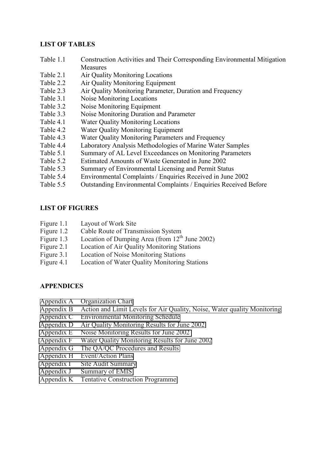#### **LIST OF TABLES**

- Table 1.1 Construction Activities and Their Corresponding Environmental Mitigation **Measures**
- Table 2.1 Air Quality Monitoring Locations
- Table 2.2 Air Quality Monitoring Equipment
- Table 2.3 Air Quality Monitoring Parameter, Duration and Frequency
- Table 3.1 Noise Monitoring Locations
- Table 3.2 Noise Monitoring Equipment
- Table 3.3 Noise Monitoring Duration and Parameter
- Table 4.1 Water Quality Monitoring Locations
- Table 4.2 Water Quality Monitoring Equipment
- Table 4.3 Water Quality Monitoring Parameters and Frequency
- Table 4.4 Laboratory Analysis Methodologies of Marine Water Samples
- Table 5.1 Summary of AL Level Exceedances on Monitoring Parameters
- Table 5.2 Estimated Amounts of Waste Generated in June 2002
- Table 5.3 Summary of Environmental Licensing and Permit Status
- Table 5.4 Environmental Complaints / Enquiries Received in June 2002
- Table 5.5 Outstanding Environmental Complaints / Enquiries Received Before

#### **LIST OF FIGURES**

- Figure 1.1 Layout of Work Site
- Figure 1.2 Cable Route of Transmission System
- Figure 1.3 Location of Dumping Area (from  $12<sup>th</sup>$  June 2002)
- Figure 2.1 Location of Air Quality Monitoring Stations
- Figure 3.1 Location of Noise Monitoring Stations
- Figure 4.1 Location of Water Quality Monitoring Stations

### **APPENDICES**

- Appendix A Organization Chart
- Appendix B Action and Limit Levels for Air Quality, Noise, Water quality Monitoring
- Appendix C Environmental Monitoring Schedule
- Appendix D Air Quality Monitoring Results for June 2002
- Appendix E Noise Monitoring Results for June 2002
- Appendix F Water Quality Monitoring Results for June 2002
- Appendix G The QA/QC Procedures and Results
- Appendix H Event/Action Plans
- Appendix I Site Audit Summary
- Appendix J Summary of EMIS
- Appendix K Tentative Construction Programme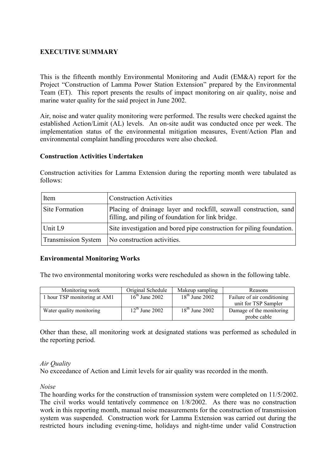# **EXECUTIVE SUMMARY**

This is the fifteenth monthly Environmental Monitoring and Audit (EM&A) report for the Project "Construction of Lamma Power Station Extension" prepared by the Environmental Team (ET). This report presents the results of impact monitoring on air quality, noise and marine water quality for the said project in June 2002.

Air, noise and water quality monitoring were performed. The results were checked against the established Action/Limit (AL) levels. An on-site audit was conducted once per week. The implementation status of the environmental mitigation measures, Event/Action Plan and environmental complaint handling procedures were also checked.

#### **Construction Activities Undertaken**

Construction activities for Lamma Extension during the reporting month were tabulated as follows:

| Item                       | <b>Construction Activities</b>                                                                                           |
|----------------------------|--------------------------------------------------------------------------------------------------------------------------|
| <b>Site Formation</b>      | Placing of drainage layer and rockfill, seawall construction, sand<br>filling, and piling of foundation for link bridge. |
| Unit L9                    | Site investigation and bored pipe construction for piling foundation.                                                    |
| <b>Transmission System</b> | No construction activities.                                                                                              |

#### **Environmental Monitoring Works**

The two environmental monitoring works were rescheduled as shown in the following table.

| Monitoring work              | Original Schedule          | Makeup sampling  | Reasons                     |
|------------------------------|----------------------------|------------------|-----------------------------|
| 1 hour TSP monitoring at AM1 | $16th$ June 2002           | $18th$ June 2002 | Failure of air conditioning |
|                              |                            |                  | unit for TSP Sampler        |
| Water quality monitoring     | $12^{\text{th}}$ June 2002 | $18th$ June 2002 | Damage of the monitoring    |
|                              |                            |                  | probe cable                 |

Other than these, all monitoring work at designated stations was performed as scheduled in the reporting period.

#### *Air Quality*

No exceedance of Action and Limit levels for air quality was recorded in the month.

#### *Noise*

The hoarding works for the construction of transmission system were completed on 11/5/2002. The civil works would tentatively commence on 1/8/2002. As there was no construction work in this reporting month, manual noise measurements for the construction of transmission system was suspended. Construction work for Lamma Extension was carried out during the restricted hours including evening-time, holidays and night-time under valid Construction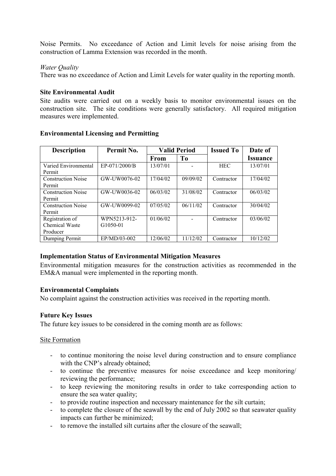Noise Permits. No exceedance of Action and Limit levels for noise arising from the construction of Lamma Extension was recorded in the month.

#### *Water Quality*

There was no exceedance of Action and Limit Levels for water quality in the reporting month.

#### **Site Environmental Audit**

Site audits were carried out on a weekly basis to monitor environmental issues on the construction site. The site conditions were generally satisfactory. All required mitigation measures were implemented.

| <b>Description</b>        | Permit No.    | <b>Valid Period</b> |                | <b>Issued To</b> | Date of                |
|---------------------------|---------------|---------------------|----------------|------------------|------------------------|
|                           |               | <b>From</b>         | T <sub>0</sub> |                  | <i><b>Issuance</b></i> |
| Varied Environmental      | EP-071/2000/B | 13/07/01            |                | <b>HEC</b>       | 13/07/01               |
| Permit                    |               |                     |                |                  |                        |
| <b>Construction Noise</b> | GW-UW0076-02  | 17/04/02            | 09/09/02       | Contractor       | 17/04/02               |
| Permit                    |               |                     |                |                  |                        |
| <b>Construction Noise</b> | GW-UW0036-02  | 06/03/02            | 31/08/02       | Contractor       | 06/03/02               |
| Permit                    |               |                     |                |                  |                        |
| <b>Construction Noise</b> | GW-UW0099-02  | 07/05/02            | 06/11/02       | Contractor       | 30/04/02               |
| Permit                    |               |                     |                |                  |                        |
| Registration of           | WPN5213-912-  | 01/06/02            |                | Contractor       | 03/06/02               |
| Chemical Waste            | G1050-01      |                     |                |                  |                        |
| Producer                  |               |                     |                |                  |                        |
| Dumping Permit            | EP/MD/03-002  | 12/06/02            | 11/12/02       | Contractor       | 10/12/02               |

#### **Environmental Licensing and Permitting**

### **Implementation Status of Environmental Mitigation Measures**

Environmental mitigation measures for the construction activities as recommended in the EM&A manual were implemented in the reporting month.

### **Environmental Complaints**

No complaint against the construction activities was received in the reporting month.

### **Future Key Issues**

The future key issues to be considered in the coming month are as follows:

#### Site Formation

- to continue monitoring the noise level during construction and to ensure compliance with the CNP's already obtained;
- to continue the preventive measures for noise exceedance and keep monitoring/ reviewing the performance;
- to keep reviewing the monitoring results in order to take corresponding action to ensure the sea water quality;
- to provide routine inspection and necessary maintenance for the silt curtain;
- to complete the closure of the seawall by the end of July 2002 so that seawater quality impacts can further be minimized;
- to remove the installed silt curtains after the closure of the seawall;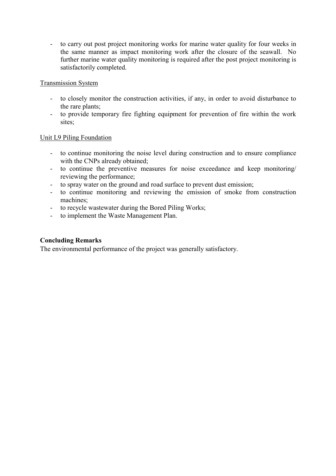- to carry out post project monitoring works for marine water quality for four weeks in the same manner as impact monitoring work after the closure of the seawall. No further marine water quality monitoring is required after the post project monitoring is satisfactorily completed.

#### Transmission System

- to closely monitor the construction activities, if any, in order to avoid disturbance to the rare plants;
- to provide temporary fire fighting equipment for prevention of fire within the work sites;

### Unit L9 Piling Foundation

- to continue monitoring the noise level during construction and to ensure compliance with the CNPs already obtained;
- to continue the preventive measures for noise exceedance and keep monitoring/ reviewing the performance;
- to spray water on the ground and road surface to prevent dust emission;
- to continue monitoring and reviewing the emission of smoke from construction machines;
- to recycle wastewater during the Bored Piling Works;
- to implement the Waste Management Plan.

### **Concluding Remarks**

The environmental performance of the project was generally satisfactory.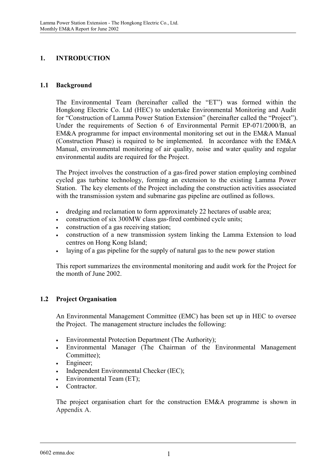# **1. INTRODUCTION**

# **1.1 Background**

The Environmental Team (hereinafter called the "ET") was formed within the Hongkong Electric Co. Ltd (HEC) to undertake Environmental Monitoring and Audit for "Construction of Lamma Power Station Extension" (hereinafter called the "Project"). Under the requirements of Section 6 of Environmental Permit EP-071/2000/B, an EM&A programme for impact environmental monitoring set out in the EM&A Manual (Construction Phase) is required to be implemented. In accordance with the EM&A Manual, environmental monitoring of air quality, noise and water quality and regular environmental audits are required for the Project.

The Project involves the construction of a gas-fired power station employing combined cycled gas turbine technology, forming an extension to the existing Lamma Power Station. The key elements of the Project including the construction activities associated with the transmission system and submarine gas pipeline are outlined as follows.

- dredging and reclamation to form approximately 22 hectares of usable area;
- construction of six 300MW class gas-fired combined cycle units;
- construction of a gas receiving station;
- construction of a new transmission system linking the Lamma Extension to load centres on Hong Kong Island;
- laying of a gas pipeline for the supply of natural gas to the new power station

This report summarizes the environmental monitoring and audit work for the Project for the month of June 2002.

# **1.2 Project Organisation**

An Environmental Management Committee (EMC) has been set up in HEC to oversee the Project. The management structure includes the following:

- Environmental Protection Department (The Authority);
- Environmental Manager (The Chairman of the Environmental Management Committee);
- Engineer:
- Independent Environmental Checker (IEC);
- Environmental Team (ET);
- Contractor.

The project organisation chart for the construction EM&A programme is shown in Appendix A.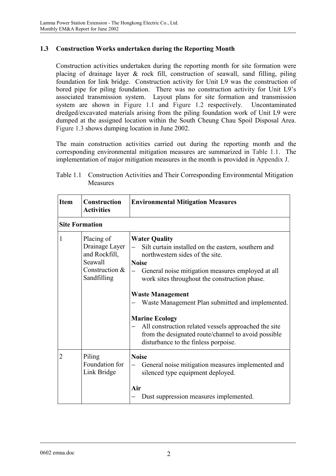# **1.3 Construction Works undertaken during the Reporting Month**

Construction activities undertaken during the reporting month for site formation were placing of drainage layer & rock fill, construction of seawall, sand filling, piling foundation for link bridge. Construction activity for Unit L9 was the construction of bored pipe for piling foundation. There was no construction activity for Unit L9's associated transmission system. Layout plans for site formation and transmission system are shown in Figure 1.1 and Figure 1.2 respectively. Uncontaminated dredged/excavated materials arising from the piling foundation work of Unit L9 were dumped at the assigned location within the South Cheung Chau Spoil Disposal Area. Figure 1.3 shows dumping location in June 2002.

The main construction activities carried out during the reporting month and the corresponding environmental mitigation measures are summarized in Table 1.1. The implementation of major mitigation measures in the month is provided in Appendix J.

| <b>Item</b>           | <b>Construction</b><br><b>Activities</b>                                                  | <b>Environmental Mitigation Measures</b>                                                                                                                                                                                                                                                                                                                                                                                                                                                            |
|-----------------------|-------------------------------------------------------------------------------------------|-----------------------------------------------------------------------------------------------------------------------------------------------------------------------------------------------------------------------------------------------------------------------------------------------------------------------------------------------------------------------------------------------------------------------------------------------------------------------------------------------------|
| <b>Site Formation</b> |                                                                                           |                                                                                                                                                                                                                                                                                                                                                                                                                                                                                                     |
| 1                     | Placing of<br>Drainage Layer<br>and Rockfill,<br>Seawall<br>Construction &<br>Sandfilling | <b>Water Quality</b><br>Silt curtain installed on the eastern, southern and<br>northwestern sides of the site.<br><b>Noise</b><br>General noise mitigation measures employed at all<br>work sites throughout the construction phase.<br><b>Waste Management</b><br>Waste Management Plan submitted and implemented.<br><b>Marine Ecology</b><br>All construction related vessels approached the site<br>from the designated route/channel to avoid possible<br>disturbance to the finless porpoise. |
| $\overline{2}$        | Piling<br>Foundation for<br>Link Bridge                                                   | <b>Noise</b><br>General noise mitigation measures implemented and<br>silenced type equipment deployed.<br>Air<br>Dust suppression measures implemented.                                                                                                                                                                                                                                                                                                                                             |

| Table 1.1 Construction Activities and Their Corresponding Environmental Mitigation |
|------------------------------------------------------------------------------------|
| Measures                                                                           |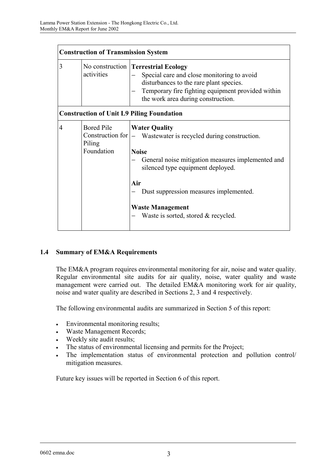|   | <b>Construction of Transmission System</b> |                                                                                                                                                                                                                                                                                                                      |  |  |
|---|--------------------------------------------|----------------------------------------------------------------------------------------------------------------------------------------------------------------------------------------------------------------------------------------------------------------------------------------------------------------------|--|--|
| 3 | activities                                 | No construction <b>Terrestrial Ecology</b><br>Special care and close monitoring to avoid<br>disturbances to the rare plant species.<br>Temporary fire fighting equipment provided within<br>the work area during construction.                                                                                       |  |  |
|   |                                            | <b>Construction of Unit L9 Piling Foundation</b>                                                                                                                                                                                                                                                                     |  |  |
| 4 | <b>Bored Pile</b><br>Piling<br>Foundation  | <b>Water Quality</b><br>Construction for  - Wastewater is recycled during construction.<br><b>Noise</b><br>General noise mitigation measures implemented and<br>silenced type equipment deployed.<br>Air<br>Dust suppression measures implemented.<br><b>Waste Management</b><br>Waste is sorted, stored & recycled. |  |  |

### **1.4 Summary of EM&A Requirements**

The EM&A program requires environmental monitoring for air, noise and water quality. Regular environmental site audits for air quality, noise, water quality and waste management were carried out. The detailed EM&A monitoring work for air quality, noise and water quality are described in Sections 2, 3 and 4 respectively.

The following environmental audits are summarized in Section 5 of this report:

- Environmental monitoring results;
- Waste Management Records;
- Weekly site audit results;
- The status of environmental licensing and permits for the Project;
- The implementation status of environmental protection and pollution control/ mitigation measures.

Future key issues will be reported in Section 6 of this report.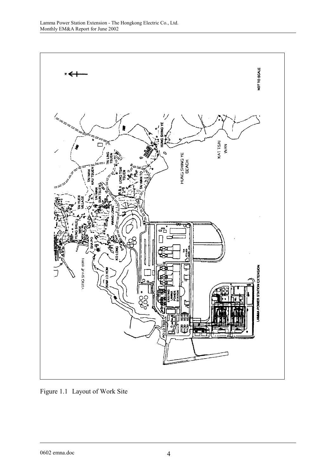

Figure 1.1 Layout of Work Site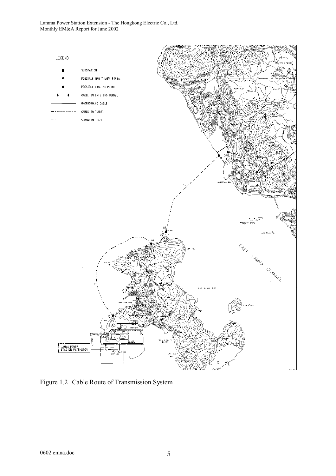

Figure 1.2 Cable Route of Transmission System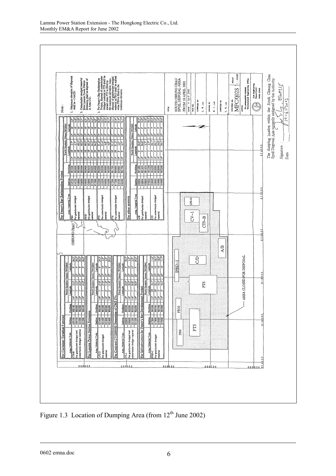

Figure 1.3 Location of Dumping Area (from 12<sup>th</sup> June 2002)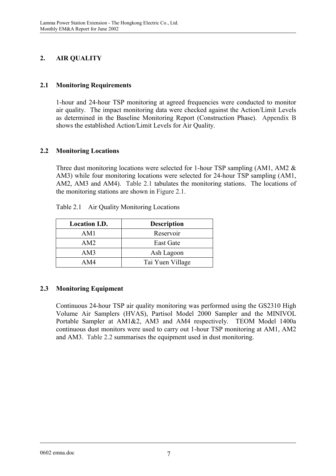# **2. AIR QUALITY**

# **2.1 Monitoring Requirements**

1-hour and 24-hour TSP monitoring at agreed frequencies were conducted to monitor air quality. The impact monitoring data were checked against the Action/Limit Levels as determined in the Baseline Monitoring Report (Construction Phase). Appendix B shows the established Action/Limit Levels for Air Quality.

# **2.2 Monitoring Locations**

Three dust monitoring locations were selected for 1-hour TSP sampling (AM1, AM2  $\&$ AM3) while four monitoring locations were selected for 24-hour TSP sampling (AM1, AM2, AM3 and AM4). Table 2.1 tabulates the monitoring stations. The locations of the monitoring stations are shown in Figure 2.1.

| <b>Location I.D.</b> | <b>Description</b> |
|----------------------|--------------------|
| AM1                  | Reservoir          |
| AM2                  | East Gate          |
| AM3                  | Ash Lagoon         |
| AM4                  | Tai Yuen Village   |

Table 2.1 Air Quality Monitoring Locations

# **2.3 Monitoring Equipment**

Continuous 24-hour TSP air quality monitoring was performed using the GS2310 High Volume Air Samplers (HVAS), Partisol Model 2000 Sampler and the MINIVOL Portable Sampler at AM1&2, AM3 and AM4 respectively. TEOM Model 1400a continuous dust monitors were used to carry out 1-hour TSP monitoring at AM1, AM2 and AM3. Table 2.2 summarises the equipment used in dust monitoring.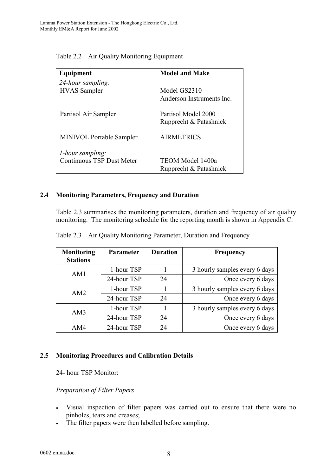| Equipment                        | <b>Model and Make</b>                         |
|----------------------------------|-----------------------------------------------|
| 24-hour sampling:                |                                               |
| <b>HVAS</b> Sampler              | Model GS2310                                  |
|                                  | Anderson Instruments Inc.                     |
| Partisol Air Sampler             | Partisol Model 2000<br>Rupprecht & Patashnick |
| <b>MINIVOL Portable Sampler</b>  | <b>AIRMETRICS</b>                             |
| <i>l</i> -hour sampling:         |                                               |
| <b>Continuous TSP Dust Meter</b> | TEOM Model 1400a                              |
|                                  | Rupprecht & Patashnick                        |

Table 2.2 Air Quality Monitoring Equipment

# **2.4 Monitoring Parameters, Frequency and Duration**

Table 2.3 summarises the monitoring parameters, duration and frequency of air quality monitoring. The monitoring schedule for the reporting month is shown in Appendix C.

| Monitoring<br><b>Stations</b> | <b>Parameter</b> | <b>Duration</b> | <b>Frequency</b>              |
|-------------------------------|------------------|-----------------|-------------------------------|
| AM1                           | 1-hour TSP       |                 | 3 hourly samples every 6 days |
|                               | 24-hour TSP      | 24              | Once every 6 days             |
| AM <sub>2</sub>               | 1-hour TSP       |                 | 3 hourly samples every 6 days |
|                               | 24-hour TSP      | 24              | Once every 6 days             |
| AM3                           | 1-hour TSP       |                 | 3 hourly samples every 6 days |
|                               | 24-hour TSP      | 24              | Once every 6 days             |
| AM4                           | 24-hour TSP      | 24              | Once every 6 days             |

Table 2.3 Air Quality Monitoring Parameter, Duration and Frequency

### **2.5 Monitoring Procedures and Calibration Details**

24- hour TSP Monitor:

### *Preparation of Filter Papers*

- Visual inspection of filter papers was carried out to ensure that there were no pinholes, tears and creases;
- The filter papers were then labelled before sampling.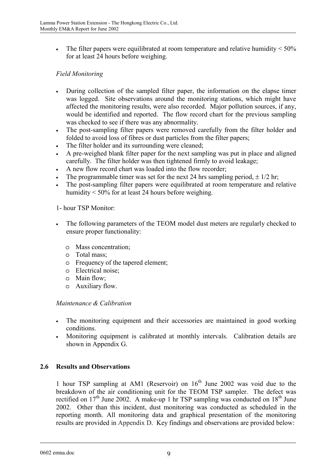• The filter papers were equilibrated at room temperature and relative humidity  $\leq 50\%$ for at least 24 hours before weighing.

# *Field Monitoring*

- During collection of the sampled filter paper, the information on the elapse timer was logged. Site observations around the monitoring stations, which might have affected the monitoring results, were also recorded. Major pollution sources, if any, would be identified and reported. The flow record chart for the previous sampling was checked to see if there was any abnormality.
- The post-sampling filter papers were removed carefully from the filter holder and folded to avoid loss of fibres or dust particles from the filter papers;
- The filter holder and its surrounding were cleaned;
- A pre-weighed blank filter paper for the next sampling was put in place and aligned carefully. The filter holder was then tightened firmly to avoid leakage;
- A new flow record chart was loaded into the flow recorder;
- The programmable timer was set for the next 24 hrs sampling period,  $\pm 1/2$  hr;
- The post-sampling filter papers were equilibrated at room temperature and relative humidity < 50% for at least 24 hours before weighing.

### 1- hour TSP Monitor:

- The following parameters of the TEOM model dust meters are regularly checked to ensure proper functionality:
	- o Mass concentration;
	- o Total mass;
	- o Frequency of the tapered element;
	- o Electrical noise;
	- o Main flow;
	- o Auxiliary flow.

### *Maintenance & Calibration*

- The monitoring equipment and their accessories are maintained in good working conditions.
- Monitoring equipment is calibrated at monthly intervals. Calibration details are shown in Appendix G.

### **2.6 Results and Observations**

1 hour TSP sampling at AM1 (Reservoir) on  $16<sup>th</sup>$  June 2002 was void due to the breakdown of the air conditioning unit for the TEOM TSP sampler. The defect was rectified on  $17<sup>th</sup>$  June 2002. A make-up 1 hr TSP sampling was conducted on  $18<sup>th</sup>$  June 2002. Other than this incident, dust monitoring was conducted as scheduled in the reporting month. All monitoring data and graphical presentation of the monitoring results are provided in Appendix D. Key findings and observations are provided below: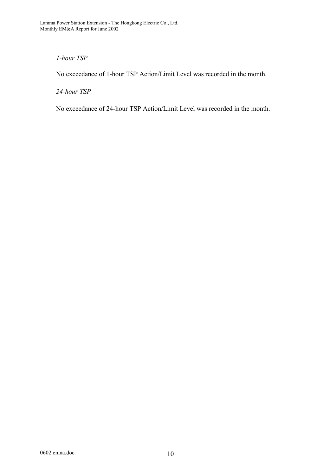# *1-hour TSP*

No exceedance of 1-hour TSP Action/Limit Level was recorded in the month.

*24-hour TSP* 

No exceedance of 24-hour TSP Action/Limit Level was recorded in the month.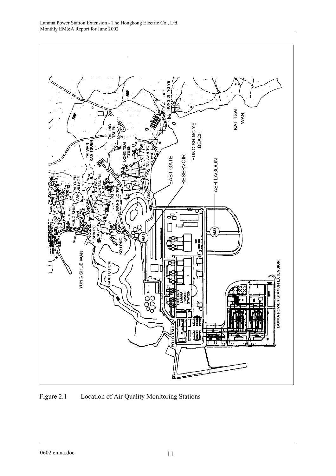

Figure 2.1 Location of Air Quality Monitoring Stations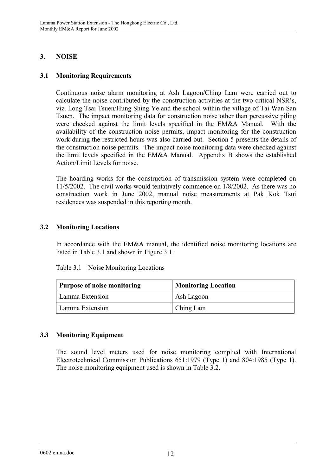# **3. NOISE**

# **3.1 Monitoring Requirements**

Continuous noise alarm monitoring at Ash Lagoon/Ching Lam were carried out to calculate the noise contributed by the construction activities at the two critical NSR's, viz. Long Tsai Tsuen/Hung Shing Ye and the school within the village of Tai Wan San Tsuen. The impact monitoring data for construction noise other than percussive piling were checked against the limit levels specified in the EM&A Manual. With the availability of the construction noise permits, impact monitoring for the construction work during the restricted hours was also carried out. Section 5 presents the details of the construction noise permits. The impact noise monitoring data were checked against the limit levels specified in the EM&A Manual. Appendix B shows the established Action/Limit Levels for noise.

The hoarding works for the construction of transmission system were completed on 11/5/2002. The civil works would tentatively commence on 1/8/2002. As there was no construction work in June 2002, manual noise measurements at Pak Kok Tsui residences was suspended in this reporting month.

# **3.2 Monitoring Locations**

In accordance with the EM&A manual, the identified noise monitoring locations are listed in Table 3.1 and shown in Figure 3.1.

|  | $14010$ $3.1$ $110100$ $11011101111$ , $10000110110$ |  |
|--|------------------------------------------------------|--|
|  |                                                      |  |
|  |                                                      |  |
|  |                                                      |  |

Table 3.1 Noise Monitoring Locations

| <b>Purpose of noise monitoring</b> | <b>Monitoring Location</b> |  |  |
|------------------------------------|----------------------------|--|--|
| Lamma Extension                    | Ash Lagoon                 |  |  |
| Lamma Extension                    | Ching Lam                  |  |  |

# **3.3 Monitoring Equipment**

The sound level meters used for noise monitoring complied with International Electrotechnical Commission Publications 651:1979 (Type 1) and 804:1985 (Type 1). The noise monitoring equipment used is shown in Table 3.2.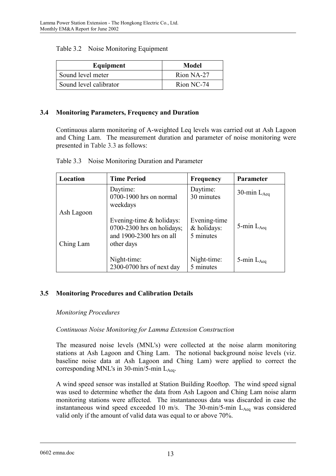| Equipment              | Model      |
|------------------------|------------|
| Sound level meter      | Rion NA-27 |
| Sound level calibrator | Rion NC-74 |

#### **3.4 Monitoring Parameters, Frequency and Duration**

Continuous alarm monitoring of A-weighted Leq levels was carried out at Ash Lagoon and Ching Lam. The measurement duration and parameter of noise monitoring were presented in Table 3.3 as follows:

| Location                | <b>Time Period</b>                                                                                    | <b>Frequency</b>                         | <b>Parameter</b> |
|-------------------------|-------------------------------------------------------------------------------------------------------|------------------------------------------|------------------|
|                         | Daytime:<br>0700-1900 hrs on normal<br>weekdays                                                       | Daytime:<br>30 minutes                   | 30-min $L_{Aea}$ |
| Ash Lagoon<br>Ching Lam | Evening-time $\&$ holidays:<br>$0700-2300$ hrs on holidays;<br>and 1900-2300 hrs on all<br>other days | Evening-time<br>& holidays:<br>5 minutes | 5-min $L_{Aea}$  |
|                         | Night-time:<br>2300-0700 hrs of next day                                                              | Night-time:<br>5 minutes                 | 5-min $L_{Aea}$  |

Table 3.3 Noise Monitoring Duration and Parameter

### **3.5 Monitoring Procedures and Calibration Details**

#### *Monitoring Procedures*

### *Continuous Noise Monitoring for Lamma Extension Construction*

The measured noise levels (MNL's) were collected at the noise alarm monitoring stations at Ash Lagoon and Ching Lam. The notional background noise levels (viz. baseline noise data at Ash Lagoon and Ching Lam) were applied to correct the corresponding MNL's in 30-min/5-min  $L_{Aea}$ .

A wind speed sensor was installed at Station Building Rooftop. The wind speed signal was used to determine whether the data from Ash Lagoon and Ching Lam noise alarm monitoring stations were affected. The instantaneous data was discarded in case the instantaneous wind speed exceeded 10 m/s. The  $30$ -min/5-min  $L_{Aeq}$  was considered valid only if the amount of valid data was equal to or above 70%.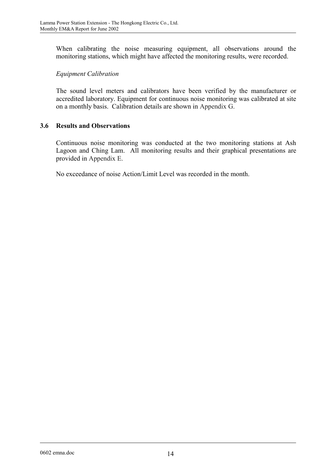When calibrating the noise measuring equipment, all observations around the monitoring stations, which might have affected the monitoring results, were recorded.

# *Equipment Calibration*

The sound level meters and calibrators have been verified by the manufacturer or accredited laboratory. Equipment for continuous noise monitoring was calibrated at site on a monthly basis. Calibration details are shown in Appendix G.

# **3.6 Results and Observations**

Continuous noise monitoring was conducted at the two monitoring stations at Ash Lagoon and Ching Lam. All monitoring results and their graphical presentations are provided in Appendix E.

No exceedance of noise Action/Limit Level was recorded in the month.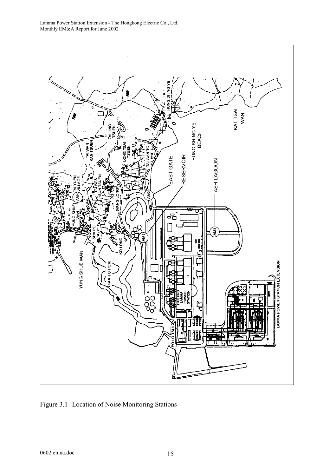

Figure 3.1 Location of Noise Monitoring Stations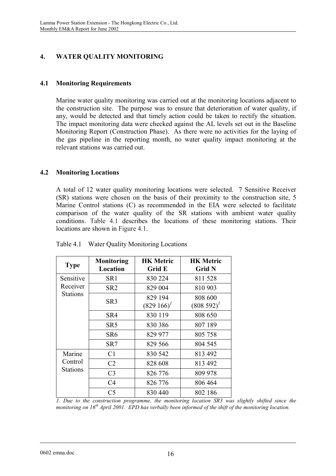# **4. WATER QUALITY MONITORING**

## **4.1 Monitoring Requirements**

Marine water quality monitoring was carried out at the monitoring locations adjacent to the construction site. The purpose was to ensure that deterioration of water quality, if any, would be detected and that timely action could be taken to rectify the situation. The impact monitoring data were checked against the AL levels set out in the Baseline Monitoring Report (Construction Phase). As there were no activities for the laying of the gas pipeline in the reporting month, no water quality impact monitoring at the relevant stations was carried out.

# **4.2 Monitoring Locations**

A total of 12 water quality monitoring locations were selected. 7 Sensitive Receiver (SR) stations were chosen on the basis of their proximity to the construction site, 5 Marine Control stations (C) as recommended in the EIA were selected to facilitate comparison of the water quality of the SR stations with ambient water quality conditions. Table 4.1 describes the locations of these monitoring stations. Their locations are shown in Figure 4.1.

| <b>Type</b>                | <b>Monitoring</b><br>Location | <b>HK Metric</b><br><b>Grid E</b> | <b>HK Metric</b><br><b>Grid N</b> |
|----------------------------|-------------------------------|-----------------------------------|-----------------------------------|
| Sensitive                  | SR <sub>1</sub>               | 830 224                           | 811528                            |
| Receiver                   | SR <sub>2</sub>               | 829 004                           | 810 903                           |
| <b>Stations</b>            | SR <sub>3</sub>               | 829 194<br>$(829166)^T$           | 808 600<br>$(808592)^{1}$         |
|                            | SR4                           | 830 119                           | 808 650                           |
|                            | SR <sub>5</sub>               | 830 386                           | 807 189                           |
|                            | SR6                           | 829 977                           | 805 758                           |
|                            | SR7                           | 829 566                           | 804 545                           |
| Marine                     | C <sub>1</sub>                | 830 542                           | 813 492                           |
| Control<br><b>Stations</b> | C <sub>2</sub>                | 828 608                           | 813 492                           |
|                            | C <sub>3</sub>                | 826 776                           | 809 978                           |
|                            | C <sub>4</sub>                | 826 776                           | 806 464                           |
|                            | C <sub>5</sub>                | 830 440                           | 802 186                           |

Table 4.1 Water Quality Monitoring Locations

*1. Due to the construction programme, the monitoring location SR3 was slightly shifted since the monitoring on 16th April 2001. EPD has verbally been informed of the shift of the monitoring location.*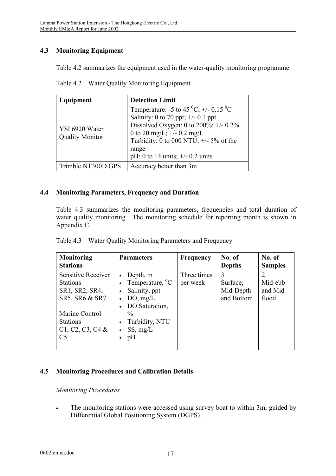# **4.3 Monitoring Equipment**

Table 4.2 summarizes the equipment used in the water-quality monitoring programme.

|  | Table 4.2 Water Quality Monitoring Equipment |  |
|--|----------------------------------------------|--|
|  |                                              |  |

| Equipment                                | <b>Detection Limit</b>                                                                                                                                                                                                                                              |
|------------------------------------------|---------------------------------------------------------------------------------------------------------------------------------------------------------------------------------------------------------------------------------------------------------------------|
| YSI 6920 Water<br><b>Quality Monitor</b> | Temperature: -5 to 45 $^0C$ ; +/- 0.15 $^0C$<br>Salinity: 0 to 70 ppt; $\pm$ /- 0.1 ppt<br>Dissolved Oxygen: 0 to 200%; $+/- 0.2\%$<br>0 to 20 mg/L; $\pm$ /- 0.2 mg/L<br>Turbidity: 0 to 000 NTU; $+/-$ 5% of the<br>range<br>pH: 0 to 14 units; $\pm/2$ 0.2 units |
| Trimble NT300D GPS                       | Accuracy better than 3m                                                                                                                                                                                                                                             |

# **4.4 Monitoring Parameters, Frequency and Duration**

Table 4.3 summarizes the monitoring parameters, frequencies and total duration of water quality monitoring. The monitoring schedule for reporting month is shown in Appendix C.

| <b>Monitoring</b><br><b>Stations</b>                                                                                                                 | <b>Parameters</b>                                                                                                                           | <b>Frequency</b>        | No. of<br><b>Depths</b>                  | No. of<br><b>Samples</b>     |
|------------------------------------------------------------------------------------------------------------------------------------------------------|---------------------------------------------------------------------------------------------------------------------------------------------|-------------------------|------------------------------------------|------------------------------|
| Sensitive Receiver<br><b>Stations</b><br>SR1, SR2, SR4,<br>SR5, SR6 & SR7<br>Marine Control<br><b>Stations</b><br>C1, C2, C3, C4 &<br>C <sub>5</sub> | Depth, m<br>Temperature, <sup>o</sup> C<br>Salinity, ppt<br>DO, mg/L<br>DO Saturation,<br>$\frac{0}{0}$<br>Turbidity, NTU<br>SS, mg/L<br>pH | Three times<br>per week | 3<br>Surface,<br>Mid-Depth<br>and Bottom | Mid-ebb<br>and Mid-<br>flood |

|  | Table 4.3 Water Quality Monitoring Parameters and Frequency |  |
|--|-------------------------------------------------------------|--|
|--|-------------------------------------------------------------|--|

# **4.5 Monitoring Procedures and Calibration Details**

### *Monitoring Procedures*

• The monitoring stations were accessed using survey boat to within 3m, guided by Differential Global Positioning System (DGPS).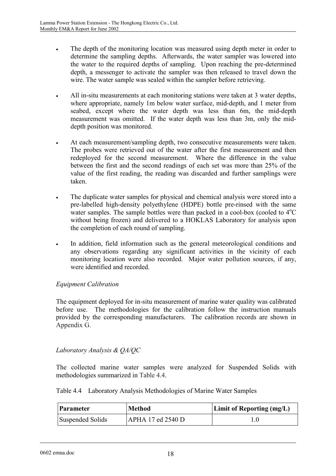- The depth of the monitoring location was measured using depth meter in order to determine the sampling depths. Afterwards, the water sampler was lowered into the water to the required depths of sampling. Upon reaching the pre-determined depth, a messenger to activate the sampler was then released to travel down the wire. The water sample was sealed within the sampler before retrieving.
- All in-situ measurements at each monitoring stations were taken at 3 water depths, where appropriate, namely 1m below water surface, mid-depth, and 1 meter from seabed, except where the water depth was less than 6m, the mid-depth measurement was omitted. If the water depth was less than 3m, only the middepth position was monitored.
- At each measurement/sampling depth, two consecutive measurements were taken. The probes were retrieved out of the water after the first measurement and then redeployed for the second measurement. Where the difference in the value between the first and the second readings of each set was more than 25% of the value of the first reading, the reading was discarded and further samplings were taken.
- The duplicate water samples for physical and chemical analysis were stored into a pre-labelled high-density polyethylene (HDPE) bottle pre-rinsed with the same water samples. The sample bottles were than packed in a cool-box (cooled to  $4^{\circ}C$ without being frozen) and delivered to a HOKLAS Laboratory for analysis upon the completion of each round of sampling.
- In addition, field information such as the general meteorological conditions and any observations regarding any significant activities in the vicinity of each monitoring location were also recorded. Major water pollution sources, if any, were identified and recorded

# *Equipment Calibration*

The equipment deployed for in-situ measurement of marine water quality was calibrated before use. The methodologies for the calibration follow the instruction manuals provided by the corresponding manufacturers. The calibration records are shown in Appendix G.

# *Laboratory Analysis & QA/QC*

The collected marine water samples were analyzed for Suspended Solids with methodologies summarized in Table 4.4.

|  |  | Table 4.4 Laboratory Analysis Methodologies of Marine Water Samples |
|--|--|---------------------------------------------------------------------|
|  |  |                                                                     |

| Parameter        | <b>Method</b>     | <b>Limit of Reporting (mg/L)</b> |
|------------------|-------------------|----------------------------------|
| Suspended Solids | APHA 17 ed 2540 D |                                  |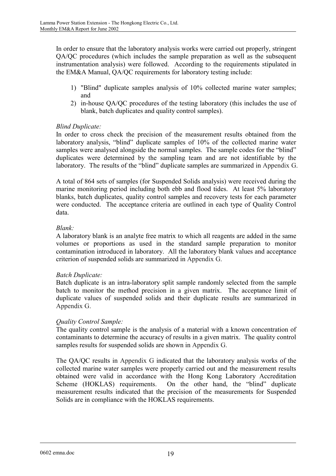In order to ensure that the laboratory analysis works were carried out properly, stringent QA/QC procedures (which includes the sample preparation as well as the subsequent instrumentation analysis) were followed. According to the requirements stipulated in the EM&A Manual, QA/QC requirements for laboratory testing include:

- 1) "Blind" duplicate samples analysis of 10% collected marine water samples; and
- 2) in-house QA/QC procedures of the testing laboratory (this includes the use of blank, batch duplicates and quality control samples).

# *Blind Duplicate:*

In order to cross check the precision of the measurement results obtained from the laboratory analysis, "blind" duplicate samples of 10% of the collected marine water samples were analysed alongside the normal samples. The sample codes for the "blind" duplicates were determined by the sampling team and are not identifiable by the laboratory. The results of the "blind" duplicate samples are summarized in Appendix G.

A total of 864 sets of samples (for Suspended Solids analysis) were received during the marine monitoring period including both ebb and flood tides. At least 5% laboratory blanks, batch duplicates, quality control samples and recovery tests for each parameter were conducted. The acceptance criteria are outlined in each type of Quality Control data.

# *Blank:*

A laboratory blank is an analyte free matrix to which all reagents are added in the same volumes or proportions as used in the standard sample preparation to monitor contamination introduced in laboratory. All the laboratory blank values and acceptance criterion of suspended solids are summarized in Appendix G.

### *Batch Duplicate:*

Batch duplicate is an intra-laboratory split sample randomly selected from the sample batch to monitor the method precision in a given matrix. The acceptance limit of duplicate values of suspended solids and their duplicate results are summarized in Appendix G.

### *Quality Control Sample:*

The quality control sample is the analysis of a material with a known concentration of contaminants to determine the accuracy of results in a given matrix. The quality control samples results for suspended solids are shown in Appendix G.

The QA/QC results in Appendix G indicated that the laboratory analysis works of the collected marine water samples were properly carried out and the measurement results obtained were valid in accordance with the Hong Kong Laboratory Accreditation Scheme (HOKLAS) requirements. On the other hand, the "blind" duplicate measurement results indicated that the precision of the measurements for Suspended Solids are in compliance with the HOKLAS requirements.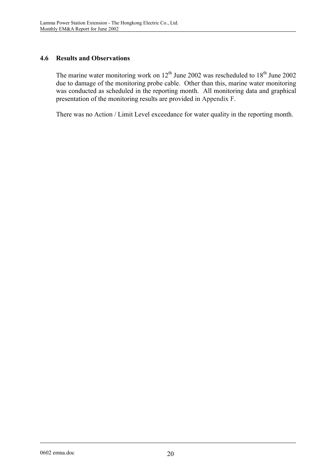# **4.6 Results and Observations**

The marine water monitoring work on  $12^{th}$  June 2002 was rescheduled to  $18^{th}$  June 2002 due to damage of the monitoring probe cable. Other than this, marine water monitoring was conducted as scheduled in the reporting month. All monitoring data and graphical presentation of the monitoring results are provided in Appendix F.

There was no Action / Limit Level exceedance for water quality in the reporting month.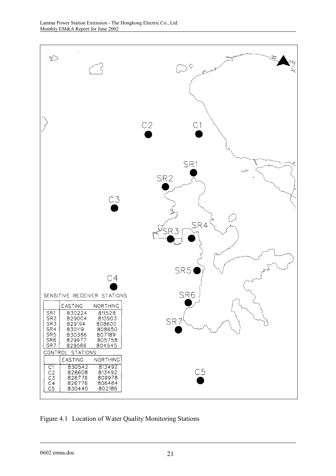

Figure 4.1 Location of Water Quality Monitoring Stations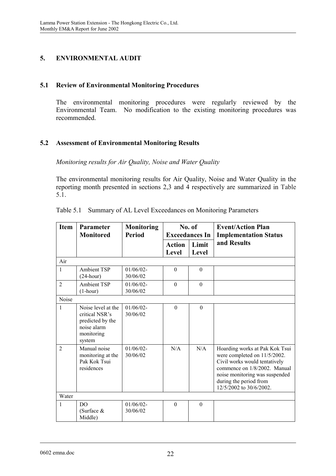# **5. ENVIRONMENTAL AUDIT**

## **5.1 Review of Environmental Monitoring Procedures**

The environmental monitoring procedures were regularly reviewed by the Environmental Team. No modification to the existing monitoring procedures was recommended.

# **5.2 Assessment of Environmental Monitoring Results**

*Monitoring results for Air Quality, Noise and Water Quality* 

The environmental monitoring results for Air Quality, Noise and Water Quality in the reporting month presented in sections 2,3 and 4 respectively are summarized in Table 5.1.

| <b>Item</b>            | <b>Parameter</b><br><b>Monitored</b>                                                            | <b>Monitoring</b><br><b>Period</b> | No. of<br><b>Exceedances In</b> |                | <b>Event/Action Plan</b><br><b>Implementation Status</b>                                                                                                                                                               |
|------------------------|-------------------------------------------------------------------------------------------------|------------------------------------|---------------------------------|----------------|------------------------------------------------------------------------------------------------------------------------------------------------------------------------------------------------------------------------|
|                        |                                                                                                 |                                    | <b>Action</b><br>Level          | Limit<br>Level | and Results                                                                                                                                                                                                            |
| Air                    |                                                                                                 |                                    |                                 |                |                                                                                                                                                                                                                        |
| $\mathbf{1}$           | <b>Ambient TSP</b><br>$(24$ -hour)                                                              | $01/06/02 -$<br>30/06/02           | $\theta$                        | $\theta$       |                                                                                                                                                                                                                        |
| $\overline{2}$         | <b>Ambient TSP</b><br>$(1-hour)$                                                                | $01/06/02 -$<br>30/06/02           | $\Omega$                        | $\theta$       |                                                                                                                                                                                                                        |
| Noise                  |                                                                                                 |                                    |                                 |                |                                                                                                                                                                                                                        |
| 1                      | Noise level at the<br>critical NSR's<br>predicted by the<br>noise alarm<br>monitoring<br>system | $01/06/02$ -<br>30/06/02           | $\theta$                        | $\theta$       |                                                                                                                                                                                                                        |
| $\mathcal{D}_{\alpha}$ | Manual noise<br>monitoring at the<br>Pak Kok Tsui<br>residences                                 | 01/06/02<br>30/06/02               | N/A                             | N/A            | Hoarding works at Pak Kok Tsui<br>were completed on 11/5/2002.<br>Civil works would tentatively<br>commence on 1/8/2002. Manual<br>noise monitoring was suspended<br>during the period from<br>12/5/2002 to 30/6/2002. |
| Water                  |                                                                                                 |                                    |                                 |                |                                                                                                                                                                                                                        |
| 1                      | DO<br>(Surface $&$<br>Middle)                                                                   | $01/06/02 -$<br>30/06/02           | $\Omega$                        | $\mathbf{0}$   |                                                                                                                                                                                                                        |

|  |  |  |  | Table 5.1 Summary of AL Level Exceedances on Monitoring Parameters |
|--|--|--|--|--------------------------------------------------------------------|
|--|--|--|--|--------------------------------------------------------------------|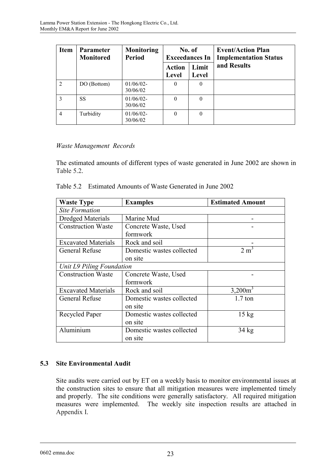| <b>Item</b>    | <b>Parameter</b><br><b>Monitored</b> | <b>Monitoring</b><br><b>Period</b> |                        | No. of<br><b>Exceedances In</b> | <b>Event/Action Plan</b><br><b>Implementation Status</b> |
|----------------|--------------------------------------|------------------------------------|------------------------|---------------------------------|----------------------------------------------------------|
|                |                                      |                                    | <b>Action</b><br>Level | Limit<br>Level                  | and Results                                              |
| $\overline{2}$ | DO (Bottom)                          | $01/06/02$ -<br>30/06/02           | $\theta$               | $\theta$                        |                                                          |
| $\mathcal{E}$  | SS                                   | 01/06/02<br>30/06/02               | 0                      | $\theta$                        |                                                          |
| $\overline{4}$ | Turbidity                            | $01/06/02$ -<br>30/06/02           | $\Omega$               | $\theta$                        |                                                          |

# *Waste Management Records*

The estimated amounts of different types of waste generated in June 2002 are shown in Table 5.2.

| Table 5.2 Estimated Amounts of Waste Generated in June 2002 |  |  |  |  |  |
|-------------------------------------------------------------|--|--|--|--|--|
|-------------------------------------------------------------|--|--|--|--|--|

| <b>Waste Type</b>          | <b>Examples</b>           | <b>Estimated Amount</b> |  |  |  |
|----------------------------|---------------------------|-------------------------|--|--|--|
| <b>Site Formation</b>      |                           |                         |  |  |  |
| <b>Dredged Materials</b>   | Marine Mud                |                         |  |  |  |
| <b>Construction Waste</b>  | Concrete Waste, Used      |                         |  |  |  |
|                            | formwork                  |                         |  |  |  |
| <b>Excavated Materials</b> | Rock and soil             |                         |  |  |  |
| <b>General Refuse</b>      | Domestic wastes collected | 2 m                     |  |  |  |
|                            | on site                   |                         |  |  |  |
| Unit L9 Piling Foundation  |                           |                         |  |  |  |
| <b>Construction Waste</b>  | Concrete Waste, Used      |                         |  |  |  |
|                            | formwork                  |                         |  |  |  |
| <b>Excavated Materials</b> | Rock and soil             | $3,200m^3$              |  |  |  |
| <b>General Refuse</b>      | Domestic wastes collected | $1.7$ ton               |  |  |  |
|                            | on site                   |                         |  |  |  |
| Recycled Paper             | Domestic wastes collected | $15 \text{ kg}$         |  |  |  |
|                            | on site                   |                         |  |  |  |
| Aluminium                  | Domestic wastes collected | $34 \text{ kg}$         |  |  |  |
|                            | on site                   |                         |  |  |  |

# **5.3 Site Environmental Audit**

Site audits were carried out by ET on a weekly basis to monitor environmental issues at the construction sites to ensure that all mitigation measures were implemented timely and properly. The site conditions were generally satisfactory. All required mitigation measures were implemented. The weekly site inspection results are attached in Appendix I.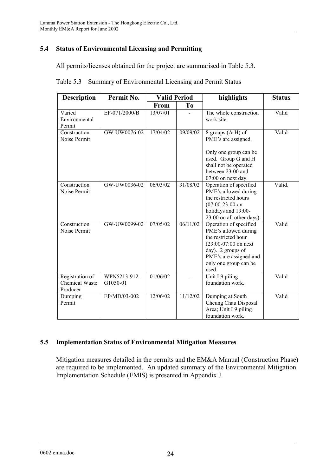# **5.4 Status of Environmental Licensing and Permitting**

All permits/licenses obtained for the project are summarised in Table 5.3.

| <b>Description</b>                                   | Permit No.               | <b>Valid Period</b> |          | highlights                                                                                                                                                                       | <b>Status</b> |  |
|------------------------------------------------------|--------------------------|---------------------|----------|----------------------------------------------------------------------------------------------------------------------------------------------------------------------------------|---------------|--|
|                                                      |                          | From                | To       |                                                                                                                                                                                  |               |  |
| Varied<br>Environmental<br>Permit                    | EP-071/2000/B            | 13/07/01            |          | The whole construction<br>work site.                                                                                                                                             | Valid         |  |
| Construction<br>Noise Permit                         | GW-UW0076-02             | 17/04/02            | 09/09/02 | 8 groups (A-H) of<br>PME's are assigned.<br>Only one group can be<br>used. Group G and H<br>shall not be operated<br>between 23:00 and<br>07:00 on next day.                     | Valid         |  |
| Construction<br>Noise Permit                         | GW-UW0036-02             | 06/03/02            | 31/08/02 | Operation of specified<br>PME's allowed during<br>the restricted hours<br>$(07:00-23:00)$ on<br>holidays and 19:00-<br>23:00 on all other days)                                  | Valid.        |  |
| Construction<br>Noise Permit                         | GW-UW0099-02             | 07/05/02            | 06/11/02 | Operation of specified<br>PME's allowed during<br>the restricted hour<br>$(23:00-07:00$ on next<br>day). 2 groups of<br>PME's are assigned and<br>only one group can be<br>used. | Valid         |  |
| Registration of<br><b>Chemical Waste</b><br>Producer | WPN5213-912-<br>G1050-01 | 01/06/02            |          | Unit L9 piling<br>foundation work.                                                                                                                                               | Valid         |  |
| Dumping<br>Permit                                    | EP/MD/03-002             | 12/06/02            | 11/12/02 | Dumping at South<br>Cheung Chau Disposal<br>Area; Unit L9 piling<br>foundation work.                                                                                             | Valid         |  |

### **5.5 Implementation Status of Environmental Mitigation Measures**

Mitigation measures detailed in the permits and the EM&A Manual (Construction Phase) are required to be implemented. An updated summary of the Environmental Mitigation Implementation Schedule (EMIS) is presented in Appendix J.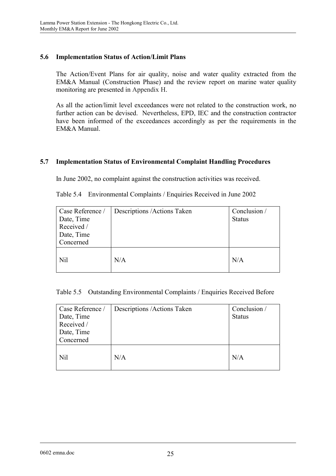# **5.6 Implementation Status of Action/Limit Plans**

The Action/Event Plans for air quality, noise and water quality extracted from the EM&A Manual (Construction Phase) and the review report on marine water quality monitoring are presented in Appendix H.

As all the action/limit level exceedances were not related to the construction work, no further action can be devised. Nevertheless, EPD, IEC and the construction contractor have been informed of the exceedances accordingly as per the requirements in the EM&A Manual.

# **5.7 Implementation Status of Environmental Complaint Handling Procedures**

In June 2002, no complaint against the construction activities was received.

|  | Table 5.4 Environmental Complaints / Enquiries Received in June 2002 |  |  |  |  |
|--|----------------------------------------------------------------------|--|--|--|--|
|--|----------------------------------------------------------------------|--|--|--|--|

| Case Reference / | Descriptions / Actions Taken | Conclusion /  |
|------------------|------------------------------|---------------|
| Date, Time       |                              | <b>Status</b> |
| Received /       |                              |               |
| Date, Time       |                              |               |
| Concerned        |                              |               |
| Nil              | N/A                          | N/A           |

Table 5.5 Outstanding Environmental Complaints / Enquiries Received Before

| Case Reference /<br>Date, Time<br>Received /<br>Date, Time<br>Concerned | Descriptions / Actions Taken | Conclusion /<br><b>Status</b> |
|-------------------------------------------------------------------------|------------------------------|-------------------------------|
| Nil                                                                     | N/A                          | N/A                           |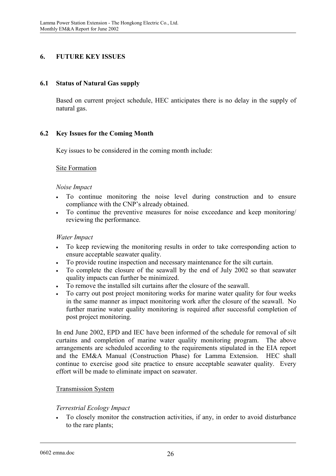# **6. FUTURE KEY ISSUES**

## **6.1 Status of Natural Gas supply**

Based on current project schedule, HEC anticipates there is no delay in the supply of natural gas.

# **6.2 Key Issues for the Coming Month**

Key issues to be considered in the coming month include:

### Site Formation

#### *Noise Impact*

- To continue monitoring the noise level during construction and to ensure compliance with the CNP's already obtained.
- To continue the preventive measures for noise exceedance and keep monitoring/ reviewing the performance.

#### *Water Impact*

- To keep reviewing the monitoring results in order to take corresponding action to ensure acceptable seawater quality.
- To provide routine inspection and necessary maintenance for the silt curtain.
- To complete the closure of the seawall by the end of July 2002 so that seawater quality impacts can further be minimized.
- To remove the installed silt curtains after the closure of the seawall.
- To carry out post project monitoring works for marine water quality for four weeks in the same manner as impact monitoring work after the closure of the seawall. No further marine water quality monitoring is required after successful completion of post project monitoring.

In end June 2002, EPD and IEC have been informed of the schedule for removal of silt curtains and completion of marine water quality monitoring program. The above arrangements are scheduled according to the requirements stipulated in the EIA report and the EM&A Manual (Construction Phase) for Lamma Extension. HEC shall continue to exercise good site practice to ensure acceptable seawater quality. Every effort will be made to eliminate impact on seawater.

### Transmission System

### *Terrestrial Ecology Impact*

• To closely monitor the construction activities, if any, in order to avoid disturbance to the rare plants;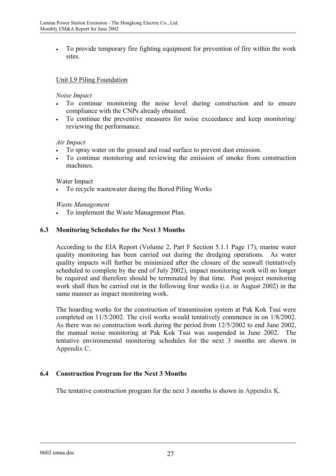• To provide temporary fire fighting equipment for prevention of fire within the work sites.

## Unit L9 Piling Foundation

#### *Noise Impact*

- To continue monitoring the noise level during construction and to ensure compliance with the CNPs already obtained.
- To continue the preventive measures for noise exceedance and keep monitoring/ reviewing the performance.

#### *Air Impact*

- To spray water on the ground and road surface to prevent dust emission.
- To continue monitoring and reviewing the emission of smoke from construction machines.

#### Water Impact

• To recycle wastewater during the Bored Piling Works

#### *Waste Management*

• To implement the Waste Management Plan.

#### **6.3 Monitoring Schedules for the Next 3 Months**

According to the EIA Report (Volume 2, Part F Section 5.1.1 Page 17), marine water quality monitoring has been carried out during the dredging operations. As water quality impacts will further be minimized after the closure of the seawall (tentatively scheduled to complete by the end of July 2002), impact monitoring work will no longer be required and therefore should be terminated by that time. Post project monitoring work shall then be carried out in the following four weeks (i.e. in August 2002) in the same manner as impact monitoring work.

The hoarding works for the construction of transmission system at Pak Kok Tsui were completed on 11/5/2002. The civil works would tentatively commence in on 1/8/2002. As there was no construction work during the period from 12/5/2002 to end June 2002, the manual noise monitoring at Pak Kok Tsui was suspended in June 2002. The tentative environmental monitoring schedules for the next 3 months are shown in Appendix C.

### **6.4 Construction Program for the Next 3 Months**

The tentative construction program for the next 3 months is shown in Appendix K.